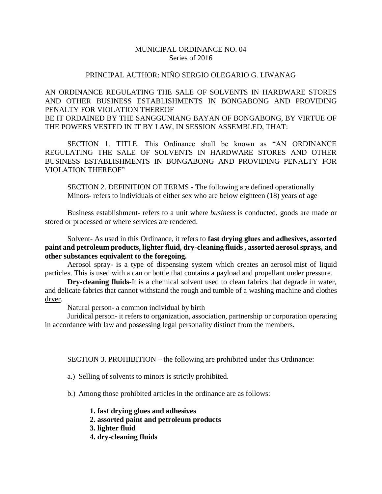## MUNICIPAL ORDINANCE NO. 04 Series of 2016

## PRINCIPAL AUTHOR: NIÑO SERGIO OLEGARIO G. LIWANAG

AN ORDINANCE REGULATING THE SALE OF SOLVENTS IN HARDWARE STORES AND OTHER BUSINESS ESTABLISHMENTS IN BONGABONG AND PROVIDING PENALTY FOR VIOLATION THEREOF BE IT ORDAINED BY THE SANGGUNIANG BAYAN OF BONGABONG, BY VIRTUE OF THE POWERS VESTED IN IT BY LAW, IN SESSION ASSEMBLED, THAT:

SECTION 1. TITLE. This Ordinance shall be known as "AN ORDINANCE REGULATING THE SALE OF SOLVENTS IN HARDWARE STORES AND OTHER BUSINESS ESTABLISHMENTS IN BONGABONG AND PROVIDING PENALTY FOR VIOLATION THEREOF"

SECTION 2. DEFINITION OF TERMS - The following are defined operationally Minors- refers to individuals of either sex who are below eighteen (18) years of age

Business establishment- refers to a unit where *business* is conducted, goods are made or stored or processed or where services are rendered.

Solvent- As used in this Ordinance, it refers to **fast drying glues and adhesives, assorted paint and petroleum products, lighter fluid, dry-cleaning fluids , assorted aerosol sprays, and other substances equivalent to the foregoing.**

Aerosol spray- is a type of dispensing system which creates an aerosol mist of liquid particles. This is used with a can or bottle that contains a payload and propellant under pressure.

**Dry-cleaning fluids-**It is a chemical solvent used to clean fabrics that degrade in water, and delicate fabrics that cannot withstand the rough and tumble of a [washing machine](https://en.wikipedia.org/wiki/Washing_machine) and [clothes](https://en.wikipedia.org/wiki/Clothes_dryer)  [dryer.](https://en.wikipedia.org/wiki/Clothes_dryer)

Natural person- a common individual by birth

Juridical person- it refers to organization, association, partnership or corporation operating in accordance with law and possessing legal personality distinct from the members.

SECTION 3. PROHIBITION – the following are prohibited under this Ordinance:

a.) Selling of solvents to minors is strictly prohibited.

b.) Among those prohibited articles in the ordinance are as follows:

- **1. fast drying glues and adhesives**
- **2. assorted paint and petroleum products**
- **3. lighter fluid**
- **4. dry-cleaning fluids**